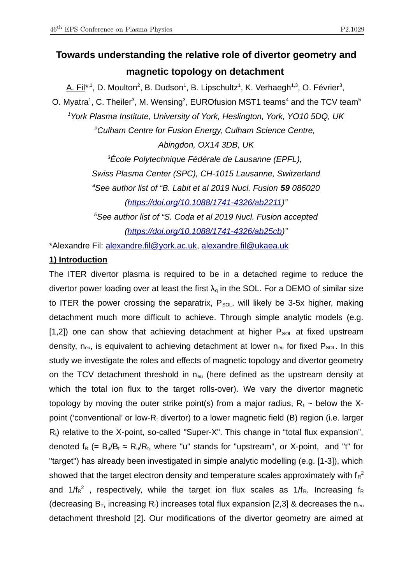# **Towards understanding the relative role of divertor geometry and magnetic topology on detachment**

A. Fil\*<sup>1</sup>, D. Moulton<sup>2</sup>, B. Dudson<sup>1</sup>, B. Lipschultz<sup>1</sup>, K. Verhaegh<sup>1,3</sup>, O. Février<sup>3</sup>, O. Myatra $^1$ , C. Theiler $^3$ , M. Wensing $^3$ , EUROfusion MST1 teams $^4$  and the TCV team $^5$ *<sup>1</sup>York Plasma Institute, University of York, Heslington, York, YO10 5DQ, UK <sup>2</sup>Culham Centre for Fusion Energy, Culham Science Centre, Abingdon, OX14 3DB, UK <sup>3</sup>École Polytechnique Fédérale de Lausanne (EPFL), Swiss Plasma Center (SPC), CH-1015 Lausanne, Switzerland <sup>4</sup>See author list of "B. Labit et al 2019 Nucl. Fusion 59 086020 (https://doi.org/10.1088/1741-4326/ab2211)"*

*<sup>5</sup>See author list of "S. Coda et al 2019 Nucl. Fusion accepted*

*(https://doi.org/10.1088/1741-4326/ab25cb)"*

\*Alexandre Fil: alexandre.fil@york.ac.uk, alexandre.fil@ukaea.uk

## **1) Introduction**

The ITER divertor plasma is required to be in a detached regime to reduce the divertor power loading over at least the first  $\lambda_q$  in the SOL. For a DEMO of similar size to ITER the power crossing the separatrix,  $P_{SOL}$ , will likely be 3-5x higher, making detachment much more difficult to achieve. Through simple analytic models (e.g. [1,2]) one can show that achieving detachment at higher  $P_{\text{SOL}}$  at fixed upstream density,  $n_{\text{eu}}$ , is equivalent to achieving detachment at lower  $n_{\text{eu}}$  for fixed  $P_{\text{SOL}}$ . In this study we investigate the roles and effects of magnetic topology and divertor geometry on the TCV detachment threshold in  $n_{eu}$  (here defined as the upstream density at which the total ion flux to the target rolls-over). We vary the divertor magnetic topology by moving the outer strike point(s) from a major radius,  $R_t \sim$  below the Xpoint ('conventional' or low-R<sub>t</sub> divertor) to a lower magnetic field (B) region (i.e. larger  $R<sub>i</sub>$ ) relative to the X-point, so-called "Super-X". This change in "total flux expansion", denoted  $f_R$  (=  $B_u/B_t \approx R_u/R_t$ , where "u" stands for "upstream", or X-point, and "t" for "target") has already been investigated in simple analytic modelling (e.g. [1-3]), which showed that the target electron density and temperature scales approximately with  $f_R^2$ and  $1/f_R{}^2$  , respectively, while the target ion flux scales as  $1/f_R$ . Increasing  $f_R$ (decreasing  $B_T$ , increasing  $R_t$ ) increases total flux expansion [2,3] & decreases the n<sub>eu</sub> detachment threshold [2]. Our modifications of the divertor geometry are aimed at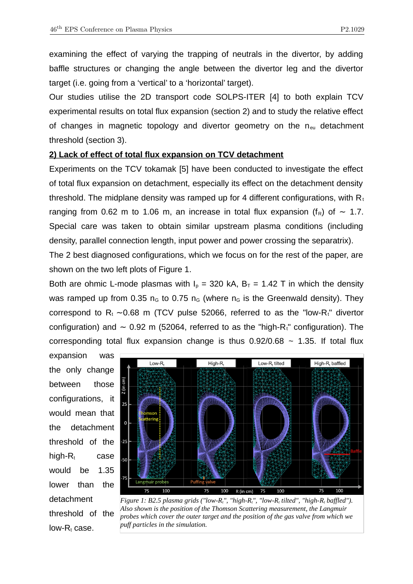examining the effect of varying the trapping of neutrals in the divertor, by adding baffle structures or changing the angle between the divertor leg and the divertor target (i.e. going from a 'vertical' to a 'horizontal' target).

Our studies utilise the 2D transport code SOLPS-ITER [4] to both explain TCV experimental results on total flux expansion (section 2) and to study the relative effect of changes in magnetic topology and divertor geometry on the  $n_{\text{eu}}$  detachment threshold (section 3).

### **2) Lack of effect of total flux expansion on TCV detachment**

Experiments on the TCV tokamak [5] have been conducted to investigate the effect of total flux expansion on detachment, especially its effect on the detachment density threshold. The midplane density was ramped up for 4 different configurations, with  $R_t$ ranging from 0.62 m to 1.06 m, an increase in total flux expansion (f<sub>R</sub>) of ~ 1.7. Special care was taken to obtain similar upstream plasma conditions (including density, parallel connection length, input power and power crossing the separatrix).

The 2 best diagnosed configurations, which we focus on for the rest of the paper, are shown on the two left plots of Figure 1.

Both are ohmic L-mode plasmas with  $I_p = 320$  kA,  $B_T = 1.42$  T in which the density was ramped up from 0.35  $n<sub>G</sub>$  to 0.75  $n<sub>G</sub>$  (where  $n<sub>G</sub>$  is the Greenwald density). They correspond to R<sub>t</sub> ~0.68 m (TCV pulse 52066, referred to as the "low-R<sub>t</sub>" divertor configuration) and  $\sim$  0.92 m (52064, referred to as the "high-R ° configuration). The corresponding total flux expansion change is thus  $0.92/0.68 \sim 1.35$ . If total flux

expansion was the only change between those configurations, it would mean that the detachment threshold of the high- $R_t$  case would be 1.35 lower than the detachment threshold of the  $low-R_t$  case.



*Figure 1: B2.5 plasma grids ("low-Rt", "high-Rt", "low-Rt tilted", "high-Rt baffled"). Also shown is the position of the Thomson Scattering measurement, the Langmuir probes which cover the outer target and the position of the gas valve from which we puff particles in the simulation.*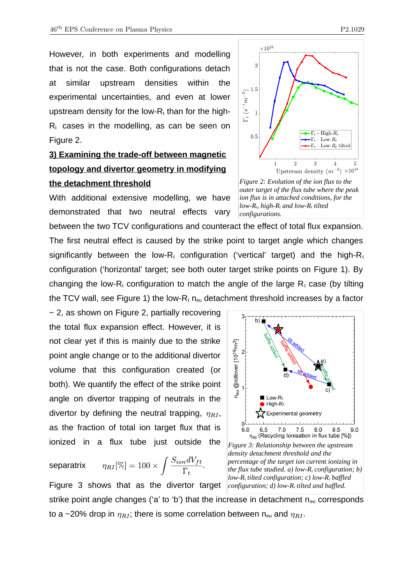However, in both experiments and modelling that is not the case. Both configurations detach at similar upstream densities within the experimental uncertainties, and even at lower upstream density for the low- $R_t$  than for the high- $R<sub>t</sub>$  cases in the modelling, as can be seen on Figure 2.

## **3) Examining the trade-off between magnetic topology and divertor geometry in modifying the detachment threshold**

With additional extensive modelling, we have demonstrated that two neutral effects vary

between the two TCV configurations and counteract the effect of total flux expansion. The first neutral effect is caused by the strike point to target angle which changes significantly between the low-R<sub>t</sub> configuration ('vertical' target) and the high-R<sub>t</sub> configuration ('horizontal' target; see both outer target strike points on Figure 1). By changing the low-R<sub>t</sub> configuration to match the angle of the large R<sub>t</sub> case (by tilting the TCV wall, see Figure 1) the low- $R_t$  n<sub>eu</sub> detachment threshold increases by a factor

 $\sim$  2, as shown on Figure 2, partially recovering the total flux expansion effect. However, it is not clear yet if this is mainly due to the strike point angle change or to the additional divertor volume that this configuration created (or both). We quantify the effect of the strike point angle on divertor trapping of neutrals in the divertor by defining the neutral trapping,  $\eta_{RI}$ , as the fraction of total ion target flux that is ionized in a flux tube just outside the

$$
\text{separatrix} \qquad \eta_{RI}[\%]=100\times \int \frac{S_{ion}dV_{ft}}{\Gamma_t}.
$$

Figure 3 shows that as the divertor target strike point angle changes ('a' to 'b') that the increase in detachment  $n_{eu}$  corresponds to a ~20% drop in  $\eta_{RI}$ ; there is some correlation between n<sub>eu</sub> and  $\eta_{RI}$ .



*configurations.* 

3 b) @rollover [10<sup>19</sup>/m<sup>3</sup>]  $2\vert$ d)  $1\overline{1}$ n<sub>eu</sub> Low-Rt  $\blacksquare$  High-Rt Experimental geometry nl  $6.0$ 6.5  $7.0$  $7.5$  $8.0$ 8.5  $9.0$ n<sub>RI</sub> (Recycling Ionisation in flux tube [%]) *Figure 3: Relationship between the upstream density detachment threshold and the percentage of the target ion current ionizing in the flux tube studied. a) low-Rt configuration; b) low-Rt tilted configuration; c) low-Rt baffled configuration; d) low-Rt tilted and baffled.*